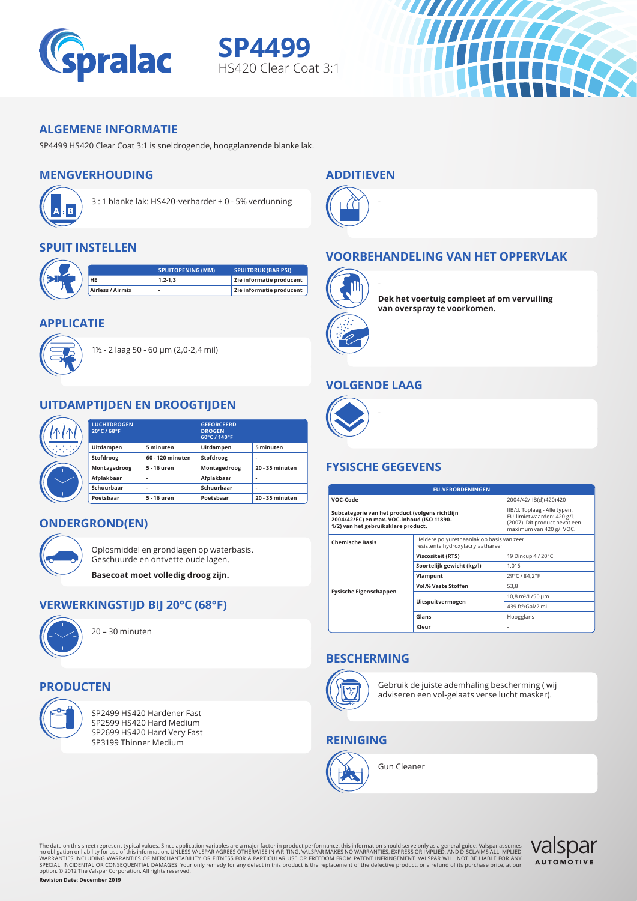

**SP4499** HS420 Clear Coat 3:1

#### **ALGEMENE INFORMATIE**

SP4499 HS420 Clear Coat 3:1 is sneldrogende, hoogglanzende blanke lak.

# **MENGVERHOUDING**



3 : 1 blanke lak: HS420-verharder + 0 - 5% verdunning

## **SPUIT INSTELLEN**



#### **APPLICATIE**



1½ - 2 laag 50 - 60 μm (2,0-2,4 mil)

## **UITDAMPTIJDEN EN DROOGTIJDEN**

|  | <b>LUCHTDROGEN</b><br>20°C / 68°F |                  | <b>GEFORCEERD</b><br><b>DROGEN</b><br>60°C / 140°F |                 |
|--|-----------------------------------|------------------|----------------------------------------------------|-----------------|
|  | Uitdampen                         | 5 minuten        | Uitdampen                                          | 5 minuten       |
|  | Stofdroog                         | 60 - 120 minuten | Stofdroog                                          | ۰               |
|  | Montagedroog                      | 5 - 16 uren      | Montagedroog                                       | 20 - 35 minuten |
|  | Afplakbaar                        |                  | Afplakbaar                                         | ۰               |
|  | Schuurbaar                        |                  | Schuurbaar                                         | ۰               |
|  | Poetsbaar                         | 5 - 16 uren      | Poetsbaar                                          | 20 - 35 minuten |

## **ONDERGROND(EN)**



Oplosmiddel en grondlagen op waterbasis. Geschuurde en ontvette oude lagen.

**Basecoat moet volledig droog zijn.**

# **VERWERKINGSTIJD BIJ 20°C (68°F)**



20 – 30 minuten

## **PRODUCTEN**



SP2499 HS420 Hardener Fast<br>SP2599 HS420 Hard Medium **FEN**<br>SP2499 HS420 Hardener Fast<br>SP2599 HS420 Hard Medium<br>SP2699 HS420 Hard Very Fast<br>SP2100 Thipsr Modium **FEN**<br>SP2499 HS420 Hardener Fast<br>SP2599 HS420 Hard Medium<br>SP2699 HS420 Hard Very Fast<br>SP3199 Thinner Medium SP3199 Thinner Medium

# **ADDITIEVEN**

-

-



# **VOORBEHANDELING VAN HET OPPERVLAK**



**Dek het voertuig compleet af om vervuiling van overspray te voorkomen.**

ШШИЛ

# **VOLGENDE LAAG**

-



# **FYSISCHE GEGEVENS**

| <b>EU-VERORDENINGEN</b>                                                                                                              |                                                                                                                         |                                |  |  |  |
|--------------------------------------------------------------------------------------------------------------------------------------|-------------------------------------------------------------------------------------------------------------------------|--------------------------------|--|--|--|
| VOC-Code                                                                                                                             | 2004/42/IIB(d)(420)420                                                                                                  |                                |  |  |  |
| Subcategorie van het product (volgens richtlijn<br>2004/42/EC) en max. VOC-inhoud (ISO 11890-<br>1/2) van het gebruiksklare product. | IIB/d. Toplaag - Alle typen.<br>EU-limietwaarden: 420 g/l.<br>(2007). Dit product bevat een<br>maximum van 420 g/l VOC. |                                |  |  |  |
| <b>Chemische Basis</b>                                                                                                               | Heldere polyurethaanlak op basis van zeer<br>resistente hydroxylacrylaatharsen                                          |                                |  |  |  |
|                                                                                                                                      | <b>Viscositeit (RTS)</b>                                                                                                | 19 Dincup 4 / 20°C             |  |  |  |
|                                                                                                                                      | Soortelijk gewicht (kg/l)                                                                                               | 1.016                          |  |  |  |
|                                                                                                                                      | Vlampunt                                                                                                                | 29°C / 84.2°F                  |  |  |  |
|                                                                                                                                      | <b>Vol.% Vaste Stoffen</b>                                                                                              | 53,8                           |  |  |  |
| <b>Fysische Eigenschappen</b>                                                                                                        |                                                                                                                         | 10,8 m <sup>2</sup> /L/50 µm   |  |  |  |
|                                                                                                                                      | Uitspuitvermogen                                                                                                        | 439 ft <sup>2</sup> /Gal/2 mil |  |  |  |
|                                                                                                                                      | Glans                                                                                                                   | Hoogglans                      |  |  |  |
|                                                                                                                                      | Kleur                                                                                                                   |                                |  |  |  |

# **BESCHERMING**



Gebruik de juiste ademhaling bescherming ( wij adviseren een vol-gelaats verse lucht masker).

# **REINIGING**



The data on this sheet represent typical values. Since application variables are a major factor in product performance, this information should serve only as a general guide, Valspar assumes<br>mo obligation or liability for